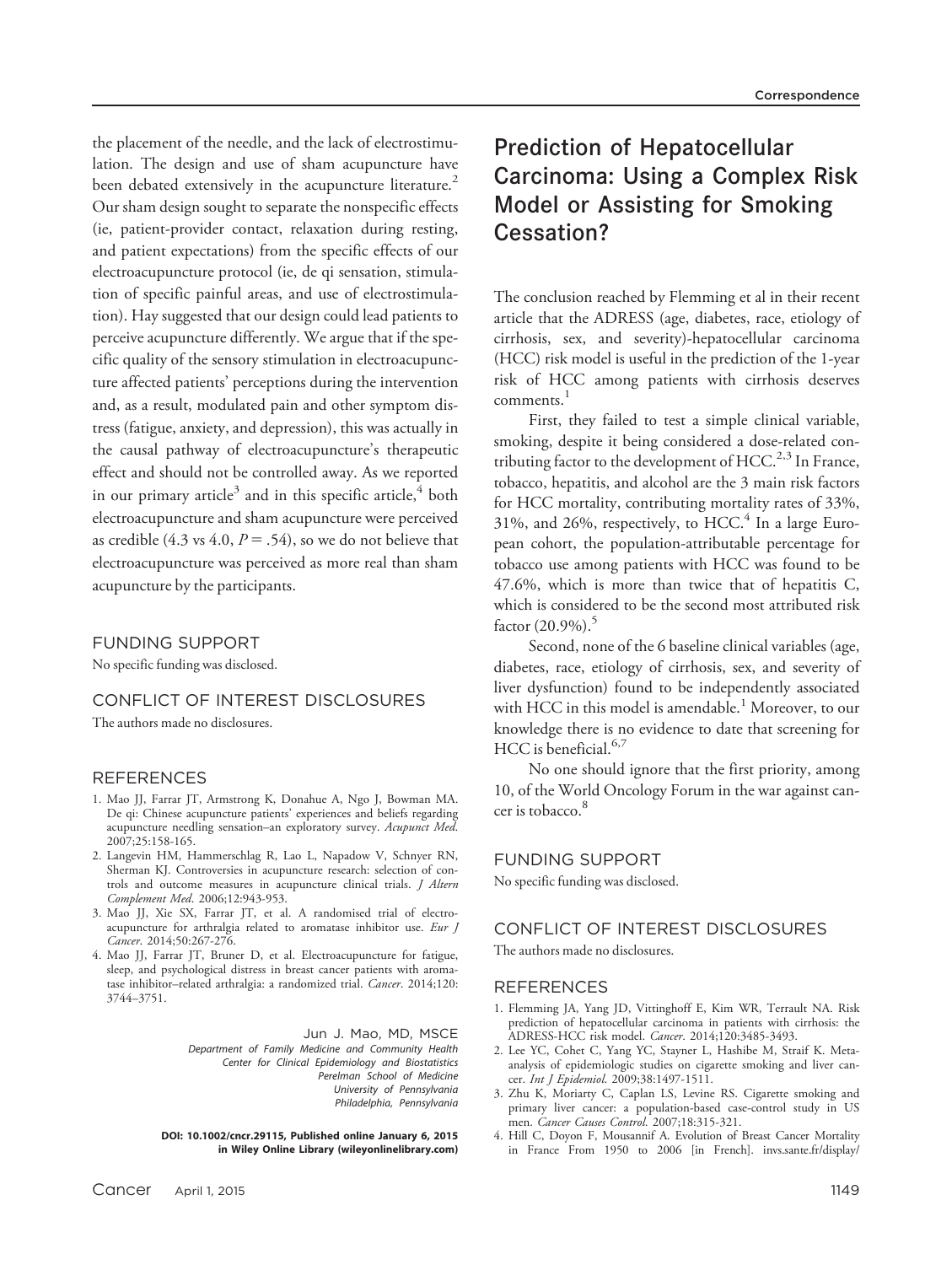the placement of the needle, and the lack of electrostimulation. The design and use of sham acupuncture have been debated extensively in the acupuncture literature.<sup>2</sup> Our sham design sought to separate the nonspecific effects (ie, patient-provider contact, relaxation during resting, and patient expectations) from the specific effects of our electroacupuncture protocol (ie, de qi sensation, stimulation of specific painful areas, and use of electrostimulation). Hay suggested that our design could lead patients to perceive acupuncture differently. We argue that if the specific quality of the sensory stimulation in electroacupuncture affected patients' perceptions during the intervention and, as a result, modulated pain and other symptom distress (fatigue, anxiety, and depression), this was actually in the causal pathway of electroacupuncture's therapeutic effect and should not be controlled away. As we reported in our primary article<sup>3</sup> and in this specific article,<sup>4</sup> both electroacupuncture and sham acupuncture were perceived as credible (4.3 vs 4.0,  $P = .54$ ), so we do not believe that electroacupuncture was perceived as more real than sham acupuncture by the participants.

## FUNDING SUPPORT

No specific funding was disclosed.

## CONFLICT OF INTEREST DISCLOSURES

The authors made no disclosures.

### REFERENCES

- 1. Mao JJ, Farrar JT, Armstrong K, Donahue A, Ngo J, Bowman MA. De qi: Chinese acupuncture patients' experiences and beliefs regarding acupuncture needling sensation-an exploratory survey. Acupunct Med. 2007;25:158-165.
- 2. Langevin HM, Hammerschlag R, Lao L, Napadow V, Schnyer RN, Sherman KJ. Controversies in acupuncture research: selection of controls and outcome measures in acupuncture clinical trials. J Altern Complement Med. 2006;12:943-953.
- 3. Mao JJ, Xie SX, Farrar JT, et al. A randomised trial of electroacupuncture for arthralgia related to aromatase inhibitor use. Eur J Cancer. 2014;50:267-276.
- 4. Mao JJ, Farrar JT, Bruner D, et al. Electroacupuncture for fatigue, sleep, and psychological distress in breast cancer patients with aromatase inhibitor-related arthralgia: a randomized trial. Cancer. 2014;120: 3744–3751.

Jun J. Mao, MD, MSCE Department of Family Medicine and Community Health Center for Clinical Epidemiology and Biostatistics Perelman School of Medicine University of Pennsylvania Philadelphia, Pennsylvania

DOI: 10.1002/cncr.29115, Published online January 6, 2015 in Wiley Online Library (wileyonlinelibrary.com)

# Prediction of Hepatocellular Carcinoma: Using a Complex Risk Model or Assisting for Smoking Cessation?

The conclusion reached by Flemming et al in their recent article that the ADRESS (age, diabetes, race, etiology of cirrhosis, sex, and severity)-hepatocellular carcinoma (HCC) risk model is useful in the prediction of the 1-year risk of HCC among patients with cirrhosis deserves comments.<sup>1</sup>

First, they failed to test a simple clinical variable, smoking, despite it being considered a dose-related contributing factor to the development of  $HCC<sup>2,3</sup>$  In France, tobacco, hepatitis, and alcohol are the 3 main risk factors for HCC mortality, contributing mortality rates of 33%, 31%, and 26%, respectively, to HCC.<sup>4</sup> In a large European cohort, the population-attributable percentage for tobacco use among patients with HCC was found to be 47.6%, which is more than twice that of hepatitis C, which is considered to be the second most attributed risk factor  $(20.9\%)$ .<sup>5</sup>

Second, none of the 6 baseline clinical variables (age, diabetes, race, etiology of cirrhosis, sex, and severity of liver dysfunction) found to be independently associated with HCC in this model is amendable.<sup>1</sup> Moreover, to our knowledge there is no evidence to date that screening for HCC is beneficial.  $6,7$ 

No one should ignore that the first priority, among 10, of the World Oncology Forum in the war against cancer is tobacco.<sup>8</sup>

#### FUNDING SUPPORT

No specific funding was disclosed.

# CONFLICT OF INTEREST DISCLOSURES The authors made no disclosures.

### **REFERENCES**

- 1. Flemming JA, Yang JD, Vittinghoff E, Kim WR, Terrault NA. Risk prediction of hepatocellular carcinoma in patients with cirrhosis: the ADRESS-HCC risk model. Cancer. 2014;120:3485-3493.
- 2. Lee YC, Cohet C, Yang YC, Stayner L, Hashibe M, Straif K. Metaanalysis of epidemiologic studies on cigarette smoking and liver cancer. Int J Epidemiol. 2009;38:1497-1511.
- 3. Zhu K, Moriarty C, Caplan LS, Levine RS. Cigarette smoking and primary liver cancer: a population-based case-control study in US men. Cancer Causes Control. 2007;18:315-321.
- 4. Hill C, Doyon F, Mousannif A. Evolution of Breast Cancer Mortality in France From 1950 to 2006 [in French]. invs.sante.fr/display/